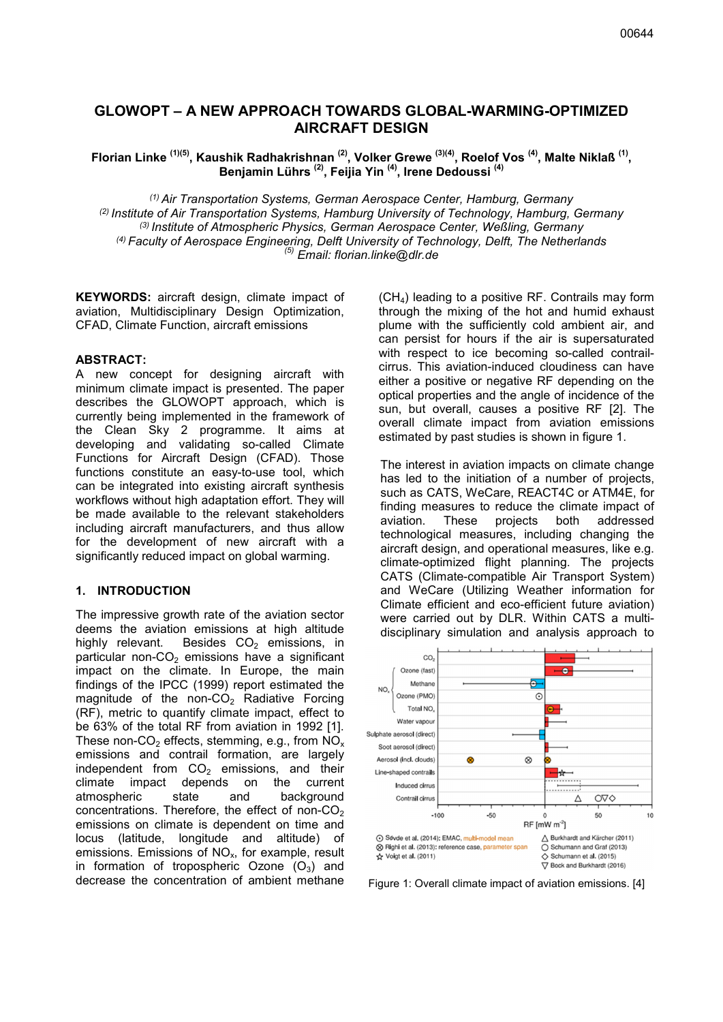# GLOWOPT – A NEW APPROACH TOWARDS GLOBAL-WARMING-OPTIMIZED AIRCRAFT DESIGN

Florian Linke <sup>(1)(5)</sup>, Kaushik Radhakrishnan <sup>(2)</sup>, Volker Grewe <sup>(3)(4)</sup>, Roelof Vos <sup>(4)</sup>, Malte Niklaß <sup>(1)</sup>, Benjamin Lührs <sup>(2)</sup>, Feijia Yin <sup>(4)</sup>, Irene Dedoussi <sup>(4)</sup>

*(1) Air Transportation Systems, German Aerospace Center, Hamburg, Germany (2) Institute of Air Transportation Systems, Hamburg University of Technology, Hamburg, Germany (3) Institute of Atmospheric Physics, German Aerospace Center, Weßling, Germany (4) Faculty of Aerospace Engineering, Delft University of Technology, Delft, The Netherlands (5) Email: florian.linke@dlr.de*

KEYWORDS: aircraft design, climate impact of aviation, Multidisciplinary Design Optimization, CFAD, Climate Function, aircraft emissions

#### ABSTRACT:

A new concept for designing aircraft with minimum climate impact is presented. The paper describes the GLOWOPT approach, which is currently being implemented in the framework of the Clean Sky 2 programme. It aims at developing and validating so-called Climate Functions for Aircraft Design (CFAD). Those functions constitute an easy-to-use tool, which can be integrated into existing aircraft synthesis workflows without high adaptation effort. They will be made available to the relevant stakeholders including aircraft manufacturers, and thus allow for the development of new aircraft with a significantly reduced impact on global warming.

#### 1. INTRODUCTION

The impressive growth rate of the aviation sector deems the aviation emissions at high altitude highly relevant. Besides  $CO<sub>2</sub>$  emissions, in particular non- $CO<sub>2</sub>$  emissions have a significant impact on the climate. In Europe, the main findings of the IPCC (1999) report estimated the magnitude of the non- $CO<sub>2</sub>$  Radiative Forcing (RF), metric to quantify climate impact, effect to be 63% of the total RF from aviation in 1992 [1]. These non-CO<sub>2</sub> effects, stemming, e.g., from  $NO_x$ emissions and contrail formation, are largely independent from  $CO<sub>2</sub>$  emissions, and their climate impact depends on the current atmospheric state and background concentrations. Therefore, the effect of non- $CO<sub>2</sub>$ emissions on climate is dependent on time and locus (latitude, longitude and altitude) of emissions. Emissions of  $NO<sub>x</sub>$ , for example, result in formation of tropospheric Ozone  $(O_3)$  and decrease the concentration of ambient methane (CH4) leading to a positive RF. Contrails may form through the mixing of the hot and humid exhaust plume with the sufficiently cold ambient air, and can persist for hours if the air is supersaturated with respect to ice becoming so-called contrailcirrus. This aviation-induced cloudiness can have either a positive or negative RF depending on the optical properties and the angle of incidence of the sun, but overall, causes a positive RF [2]. The overall climate impact from aviation emissions estimated by past studies is shown in figure 1.

The interest in aviation impacts on climate change has led to the initiation of a number of projects, such as CATS, WeCare, REACT4C or ATM4E, for finding measures to reduce the climate impact of aviation. These projects both addressed technological measures, including changing the aircraft design, and operational measures, like e.g. climate-optimized flight planning. The projects CATS (Climate-compatible Air Transport System) and WeCare (Utilizing Weather information for Climate efficient and eco-efficient future aviation) were carried out by DLR. Within CATS a multidisciplinary simulation and analysis approach to



Figure 1: Overall climate impact of aviation emissions. [4]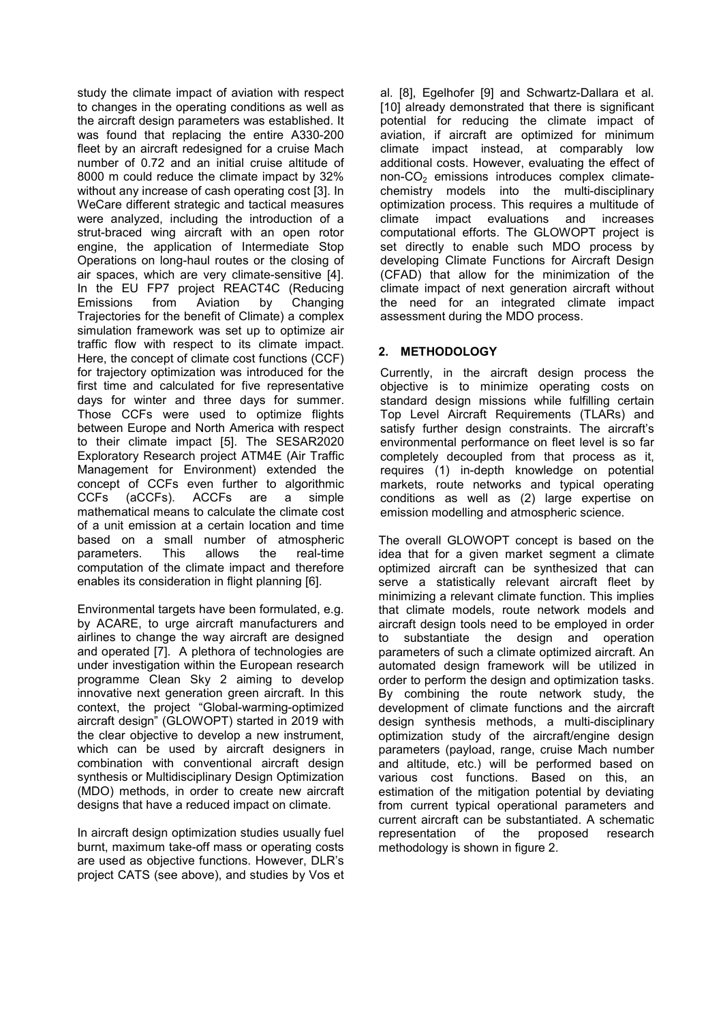study the climate impact of aviation with respect to changes in the operating conditions as well as the aircraft design parameters was established. It was found that replacing the entire A330-200 fleet by an aircraft redesigned for a cruise Mach number of 0.72 and an initial cruise altitude of 8000 m could reduce the climate impact by 32% without any increase of cash operating cost [3]. In WeCare different strategic and tactical measures were analyzed, including the introduction of a strut-braced wing aircraft with an open rotor engine, the application of Intermediate Stop Operations on long-haul routes or the closing of air spaces, which are very climate-sensitive [4]. In the EU FP7 project REACT4C (Reducing Emissions from Aviation by Changing Trajectories for the benefit of Climate) a complex simulation framework was set up to optimize air traffic flow with respect to its climate impact. Here, the concept of climate cost functions (CCF) for trajectory optimization was introduced for the first time and calculated for five representative days for winter and three days for summer. Those CCFs were used to optimize flights between Europe and North America with respect to their climate impact [5]. The SESAR2020 Exploratory Research project ATM4E (Air Traffic Management for Environment) extended the concept of CCFs even further to algorithmic CCFs (aCCFs). ACCFs are a simple mathematical means to calculate the climate cost of a unit emission at a certain location and time based on a small number of atmospheric parameters. This allows the real-time computation of the climate impact and therefore enables its consideration in flight planning [6].

Environmental targets have been formulated, e.g. by ACARE, to urge aircraft manufacturers and airlines to change the way aircraft are designed and operated [7]. A plethora of technologies are under investigation within the European research programme Clean Sky 2 aiming to develop innovative next generation green aircraft. In this context, the project "Global-warming-optimized aircraft design" (GLOWOPT) started in 2019 with the clear objective to develop a new instrument, which can be used by aircraft designers in combination with conventional aircraft design synthesis or Multidisciplinary Design Optimization (MDO) methods, in order to create new aircraft designs that have a reduced impact on climate.

In aircraft design optimization studies usually fuel burnt, maximum take-off mass or operating costs are used as objective functions. However, DLR's project CATS (see above), and studies by Vos et al. [8], Egelhofer [9] and Schwartz-Dallara et al. [10] already demonstrated that there is significant potential for reducing the climate impact of aviation, if aircraft are optimized for minimum climate impact instead, at comparably low additional costs. However, evaluating the effect of non- $CO<sub>2</sub>$  emissions introduces complex climatechemistry models into the multi-disciplinary optimization process. This requires a multitude of climate impact evaluations and increases computational efforts. The GLOWOPT project is set directly to enable such MDO process by developing Climate Functions for Aircraft Design (CFAD) that allow for the minimization of the climate impact of next generation aircraft without the need for an integrated climate impact assessment during the MDO process.

## 2. METHODOLOGY

Currently, in the aircraft design process the objective is to minimize operating costs on standard design missions while fulfilling certain Top Level Aircraft Requirements (TLARs) and satisfy further design constraints. The aircraft's environmental performance on fleet level is so far completely decoupled from that process as it, requires (1) in-depth knowledge on potential markets, route networks and typical operating conditions as well as (2) large expertise on emission modelling and atmospheric science.

The overall GLOWOPT concept is based on the idea that for a given market segment a climate optimized aircraft can be synthesized that can serve a statistically relevant aircraft fleet by minimizing a relevant climate function. This implies that climate models, route network models and aircraft design tools need to be employed in order to substantiate the design and operation parameters of such a climate optimized aircraft. An automated design framework will be utilized in order to perform the design and optimization tasks. By combining the route network study, the development of climate functions and the aircraft design synthesis methods, a multi-disciplinary optimization study of the aircraft/engine design parameters (payload, range, cruise Mach number and altitude, etc.) will be performed based on various cost functions. Based on this, an estimation of the mitigation potential by deviating from current typical operational parameters and current aircraft can be substantiated. A schematic representation of the proposed research methodology is shown in figure 2.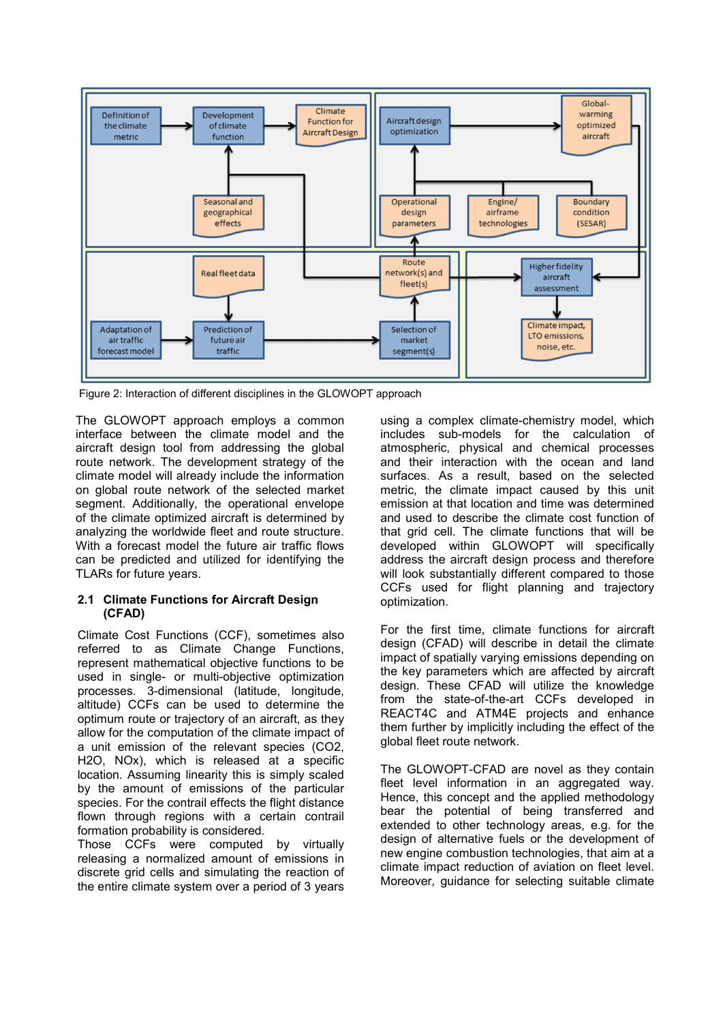

Figure 2: Interaction of different disciplines in the GLOWOPT approach

The GLOWOPT approach employs a common interface between the climate model and the aircraft design tool from addressing the global route network. The development strategy of the climate model will already include the information on global route network of the selected market segment. Additionally, the operational envelope of the climate optimized aircraft is determined by analyzing the worldwide fleet and route structure. With a forecast model the future air traffic flows can be predicted and utilized for identifying the TLARs for future years.

### 2.1 Climate Functions for Aircraft Design (CFAD)

Climate Cost Functions (CCF), sometimes also referred to as Climate Change Functions, represent mathematical objective functions to be used in single- or multi-objective optimization processes. 3-dimensional (latitude, longitude, altitude) CCFs can be used to determine the optimum route or trajectory of an aircraft, as they allow for the computation of the climate impact of a unit emission of the relevant species (CO2, H2O, NOx), which is released at a specific location. Assuming linearity this is simply scaled by the amount of emissions of the particular species. For the contrail effects the flight distance flown through regions with a certain contrail formation probability is considered.

Those CCFs were computed by virtually releasing a normalized amount of emissions in discrete grid cells and simulating the reaction of the entire climate system over a period of 3 years

using a complex climate-chemistry model, which includes sub-models for the calculation of atmospheric, physical and chemical processes and their interaction with the ocean and land surfaces. As a result, based on the selected metric, the climate impact caused by this unit emission at that location and time was determined and used to describe the climate cost function of that grid cell. The climate functions that will be developed within GLOWOPT will specifically address the aircraft design process and therefore will look substantially different compared to those CCFs used for flight planning and trajectory optimization.

For the first time, climate functions for aircraft design (CFAD) will describe in detail the climate impact of spatially varying emissions depending on the key parameters which are affected by aircraft design. These CFAD will utilize the knowledge from the state-of-the-art CCFs developed in REACT4C and ATM4E projects and enhance them further by implicitly including the effect of the global fleet route network.

The GLOWOPT-CFAD are novel as they contain fleet level information in an aggregated way. Hence, this concept and the applied methodology bear the potential of being transferred and extended to other technology areas, e.g. for the design of alternative fuels or the development of new engine combustion technologies, that aim at a climate impact reduction of aviation on fleet level. Moreover, guidance for selecting suitable climate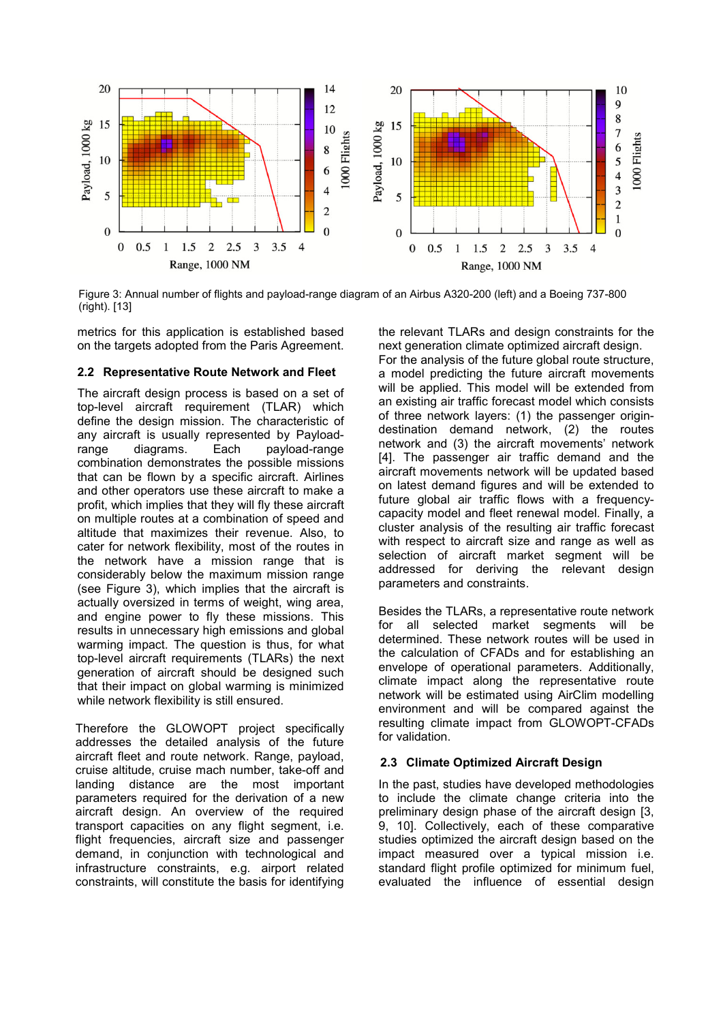

Figure 3: Annual number of flights and payload-range diagram of an Airbus A320-200 (left) and a Boeing 737-800 (right). [13]

metrics for this application is established based on the targets adopted from the Paris Agreement.

#### 2.2 Representative Route Network and Fleet

The aircraft design process is based on a set of top-level aircraft requirement (TLAR) which define the design mission. The characteristic of any aircraft is usually represented by Payloadrange diagrams. Each payload-range combination demonstrates the possible missions that can be flown by a specific aircraft. Airlines and other operators use these aircraft to make a profit, which implies that they will fly these aircraft on multiple routes at a combination of speed and altitude that maximizes their revenue. Also, to cater for network flexibility, most of the routes in the network have a mission range that is considerably below the maximum mission range (see Figure 3), which implies that the aircraft is actually oversized in terms of weight, wing area, and engine power to fly these missions. This results in unnecessary high emissions and global warming impact. The question is thus, for what top-level aircraft requirements (TLARs) the next generation of aircraft should be designed such that their impact on global warming is minimized while network flexibility is still ensured.

Therefore the GLOWOPT project specifically addresses the detailed analysis of the future aircraft fleet and route network. Range, payload, cruise altitude, cruise mach number, take-off and landing distance are the most important parameters required for the derivation of a new aircraft design. An overview of the required transport capacities on any flight segment, i.e. flight frequencies, aircraft size and passenger demand, in conjunction with technological and infrastructure constraints, e.g. airport related constraints, will constitute the basis for identifying

the relevant TLARs and design constraints for the next generation climate optimized aircraft design. For the analysis of the future global route structure, a model predicting the future aircraft movements will be applied. This model will be extended from an existing air traffic forecast model which consists of three network layers: (1) the passenger origindestination demand network, (2) the routes network and (3) the aircraft movements' network [4]. The passenger air traffic demand and the aircraft movements network will be updated based on latest demand figures and will be extended to future global air traffic flows with a frequencycapacity model and fleet renewal model. Finally, a cluster analysis of the resulting air traffic forecast with respect to aircraft size and range as well as selection of aircraft market segment will be addressed for deriving the relevant design parameters and constraints.

Besides the TLARs, a representative route network for all selected market segments will be determined. These network routes will be used in the calculation of CFADs and for establishing an envelope of operational parameters. Additionally, climate impact along the representative route network will be estimated using AirClim modelling environment and will be compared against the resulting climate impact from GLOWOPT-CFADs for validation.

#### 2.3 Climate Optimized Aircraft Design

In the past, studies have developed methodologies to include the climate change criteria into the preliminary design phase of the aircraft design [3, 9, 10]. Collectively, each of these comparative studies optimized the aircraft design based on the impact measured over a typical mission i.e. standard flight profile optimized for minimum fuel, evaluated the influence of essential design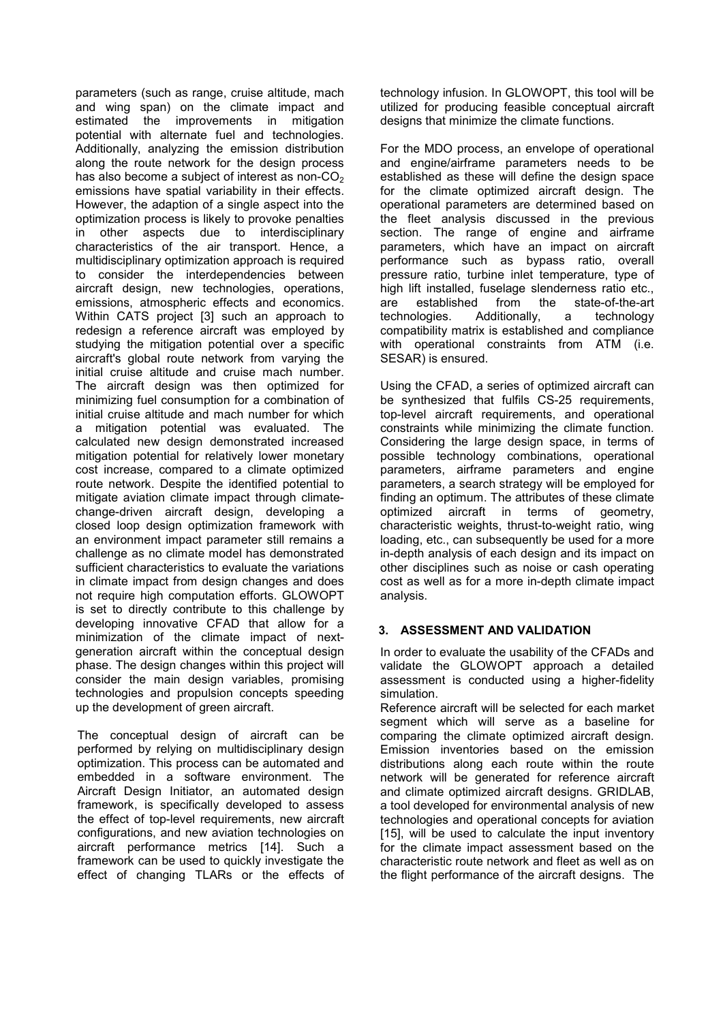parameters (such as range, cruise altitude, mach and wing span) on the climate impact and estimated the improvements in mitigation potential with alternate fuel and technologies. Additionally, analyzing the emission distribution along the route network for the design process has also become a subject of interest as non- $CO<sub>2</sub>$ emissions have spatial variability in their effects. However, the adaption of a single aspect into the optimization process is likely to provoke penalties in other aspects due to interdisciplinary characteristics of the air transport. Hence, a multidisciplinary optimization approach is required to consider the interdependencies between aircraft design, new technologies, operations, emissions, atmospheric effects and economics. Within CATS project [3] such an approach to redesign a reference aircraft was employed by studying the mitigation potential over a specific aircraft's global route network from varying the initial cruise altitude and cruise mach number. The aircraft design was then optimized for minimizing fuel consumption for a combination of initial cruise altitude and mach number for which a mitigation potential was evaluated. The calculated new design demonstrated increased mitigation potential for relatively lower monetary cost increase, compared to a climate optimized route network. Despite the identified potential to mitigate aviation climate impact through climatechange-driven aircraft design, developing a closed loop design optimization framework with an environment impact parameter still remains a challenge as no climate model has demonstrated sufficient characteristics to evaluate the variations in climate impact from design changes and does not require high computation efforts. GLOWOPT is set to directly contribute to this challenge by developing innovative CFAD that allow for a minimization of the climate impact of nextgeneration aircraft within the conceptual design phase. The design changes within this project will consider the main design variables, promising technologies and propulsion concepts speeding up the development of green aircraft.

The conceptual design of aircraft can be performed by relying on multidisciplinary design optimization. This process can be automated and embedded in a software environment. The Aircraft Design Initiator, an automated design framework, is specifically developed to assess the effect of top-level requirements, new aircraft configurations, and new aviation technologies on aircraft performance metrics [14]. Such a framework can be used to quickly investigate the effect of changing TLARs or the effects of technology infusion. In GLOWOPT, this tool will be utilized for producing feasible conceptual aircraft designs that minimize the climate functions.

For the MDO process, an envelope of operational and engine/airframe parameters needs to be established as these will define the design space for the climate optimized aircraft design. The operational parameters are determined based on the fleet analysis discussed in the previous section. The range of engine and airframe parameters, which have an impact on aircraft performance such as bypass ratio, overall pressure ratio, turbine inlet temperature, type of high lift installed, fuselage slenderness ratio etc., are established from the state-of-the-art technologies. Additionally, a technology compatibility matrix is established and compliance with operational constraints from ATM (i.e. SESAR) is ensured.

Using the CFAD, a series of optimized aircraft can be synthesized that fulfils CS-25 requirements, top-level aircraft requirements, and operational constraints while minimizing the climate function. Considering the large design space, in terms of possible technology combinations, operational parameters, airframe parameters and engine parameters, a search strategy will be employed for finding an optimum. The attributes of these climate optimized aircraft in terms of geometry, characteristic weights, thrust-to-weight ratio, wing loading, etc., can subsequently be used for a more in-depth analysis of each design and its impact on other disciplines such as noise or cash operating cost as well as for a more in-depth climate impact analysis.

## 3. ASSESSMENT AND VALIDATION

In order to evaluate the usability of the CFADs and validate the GLOWOPT approach a detailed assessment is conducted using a higher-fidelity simulation.

Reference aircraft will be selected for each market segment which will serve as a baseline for comparing the climate optimized aircraft design. Emission inventories based on the emission distributions along each route within the route network will be generated for reference aircraft and climate optimized aircraft designs. GRIDLAB, a tool developed for environmental analysis of new technologies and operational concepts for aviation [15], will be used to calculate the input inventory for the climate impact assessment based on the characteristic route network and fleet as well as on the flight performance of the aircraft designs. The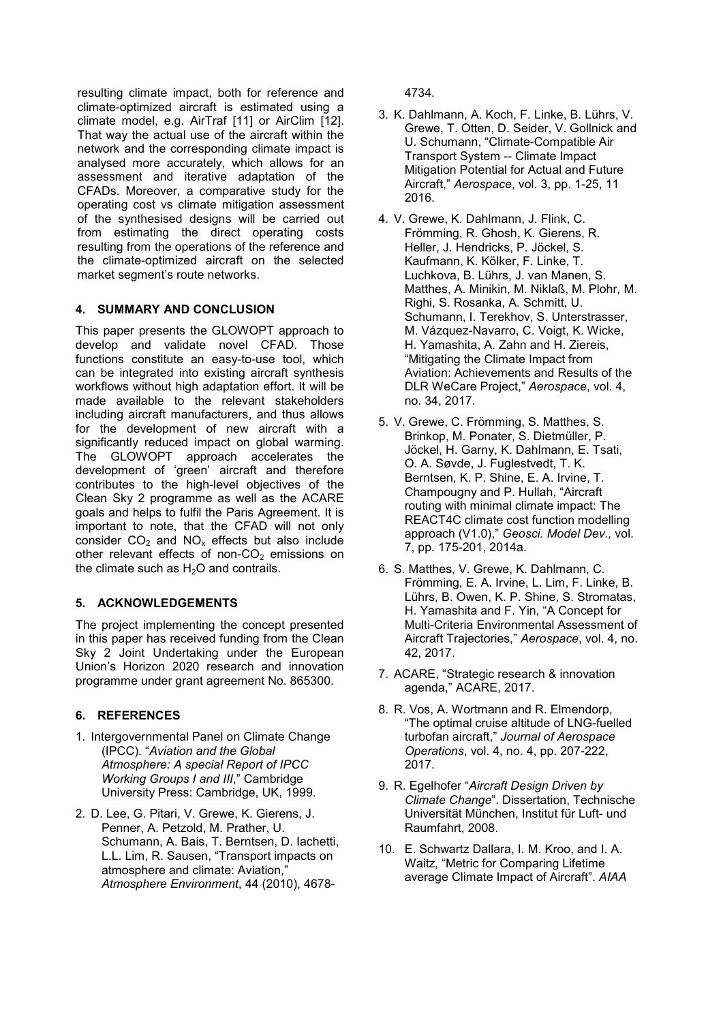resulting climate impact, both for reference and climate-optimized aircraft is estimated using a climate model, e.g. AirTraf [11] or AirClim [12]. That way the actual use of the aircraft within the network and the corresponding climate impact is analysed more accurately, which allows for an assessment and iterative adaptation of the CFADs. Moreover, a comparative study for the operating cost vs climate mitigation assessment of the synthesised designs will be carried out from estimating the direct operating costs resulting from the operations of the reference and the climate-optimized aircraft on the selected market segment's route networks.

## 4. SUMMARY AND CONCLUSION

This paper presents the GLOWOPT approach to develop and validate novel CFAD. Those functions constitute an easy-to-use tool, which can be integrated into existing aircraft synthesis workflows without high adaptation effort. It will be made available to the relevant stakeholders including aircraft manufacturers, and thus allows for the development of new aircraft with a significantly reduced impact on global warming. The GLOWOPT approach accelerates the development of 'green' aircraft and therefore contributes to the high-level objectives of the Clean Sky 2 programme as well as the ACARE goals and helps to fulfil the Paris Agreement. It is important to note, that the CFAD will not only consider  $CO<sub>2</sub>$  and  $NO<sub>x</sub>$  effects but also include other relevant effects of non- $CO<sub>2</sub>$  emissions on the climate such as  $H<sub>2</sub>O$  and contrails.

## 5. ACKNOWLEDGEMENTS

The project implementing the concept presented in this paper has received funding from the Clean Sky 2 Joint Undertaking under the European Union's Horizon 2020 research and innovation programme under grant agreement No. 865300.

# 6. REFERENCES

- 1. Intergovernmental Panel on Climate Change (IPCC). "*Aviation and the Global Atmosphere: A special Report of IPCC Working Groups I and III*," Cambridge University Press: Cambridge, UK, 1999.
- 2. D. Lee, G. Pitari, V. Grewe, K. Gierens, J. Penner, A. Petzold, M. Prather, U. Schumann, A. Bais, T. Berntsen, D. Iachetti, L.L. Lim, R. Sausen, "Transport impacts on atmosphere and climate: Aviation," *Atmosphere Environment*, 44 (2010), 4678-

4734.

- 3. K. Dahlmann, A. Koch, F. Linke, B. Lührs, V. Grewe, T. Otten, D. Seider, V. Gollnick and U. Schumann, "Climate-Compatible Air Transport System -- Climate Impact Mitigation Potential for Actual and Future Aircraft," *Aerospace*, vol. 3, pp. 1-25, 11 2016.
- 4. V. Grewe, K. Dahlmann, J. Flink, C. Frömming, R. Ghosh, K. Gierens, R. Heller, J. Hendricks, P. Jöckel, S. Kaufmann, K. Kölker, F. Linke, T. Luchkova, B. Lührs, J. van Manen, S. Matthes, A. Minikin, M. Niklaß, M. Plohr, M. Righi, S. Rosanka, A. Schmitt, U. Schumann, I. Terekhov, S. Unterstrasser, M. Vázquez-Navarro, C. Voigt, K. Wicke, H. Yamashita, A. Zahn and H. Ziereis, "Mitigating the Climate Impact from Aviation: Achievements and Results of the DLR WeCare Project," *Aerospace*, vol. 4, no. 34, 2017.
- 5. V. Grewe, C. Frömming, S. Matthes, S. Brinkop, M. Ponater, S. Dietmüller, P. Jöckel, H. Garny, K. Dahlmann, E. Tsati, O. A. Søvde, J. Fuglestvedt, T. K. Berntsen, K. P. Shine, E. A. Irvine, T. Champougny and P. Hullah, "Aircraft routing with minimal climate impact: The REACT4C climate cost function modelling approach (V1.0)," *Geosci. Model Dev.,* vol. 7, pp. 175-201, 2014a.
- 6. S. Matthes, V. Grewe, K. Dahlmann, C. Frömming, E. A. Irvine, L. Lim, F. Linke, B. Lührs, B. Owen, K. P. Shine, S. Stromatas, H. Yamashita and F. Yin, "A Concept for Multi-Criteria Environmental Assessment of Aircraft Trajectories," *Aerospace*, vol. 4, no. 42, 2017.
- 7. ACARE, "Strategic research & innovation agenda," ACARE, 2017.
- 8. R. Vos, A. Wortmann and R. Elmendorp, "The optimal cruise altitude of LNG-fuelled turbofan aircraft," *Journal of Aerospace Operations*, vol. 4, no. 4, pp. 207-222, 2017.
- 9. R. Egelhofer "*Aircraft Design Driven by Climate Change*". Dissertation, Technische Universität München, Institut für Luft- und Raumfahrt, 2008.
- 10. E. Schwartz Dallara, I. M. Kroo, and I. A. Waitz, "Metric for Comparing Lifetime average Climate Impact of Aircraft". *AIAA*